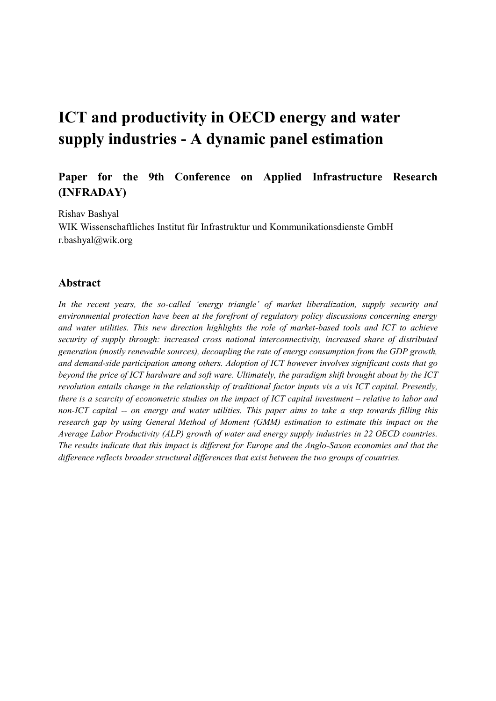# **ICT and productivity in OECD energy and water supply industries - A dynamic panel estimation**

# **Paper for the 9th Conference on Applied Infrastructure Research (INFRADAY)**

Rishav Bashyal

WIK Wissenschaftliches Institut für Infrastruktur und Kommunikationsdienste GmbH r.bashyal@wik.org

#### **Abstract**

*In the recent years, the so-called 'energy triangle' of market liberalization, supply security and environmental protection have been at the forefront of regulatory policy discussions concerning energy and water utilities. This new direction highlights the role of market-based tools and ICT to achieve security of supply through: increased cross national interconnectivity, increased share of distributed generation (mostly renewable sources), decoupling the rate of energy consumption from the GDP growth, and demand-side participation among others. Adoption of ICT however involves significant costs that go beyond the price of ICT hardware and soft ware. Ultimately, the paradigm shift brought about by the ICT revolution entails change in the relationship of traditional factor inputs vis a vis ICT capital. Presently, there is a scarcity of econometric studies on the impact of ICT capital investment – relative to labor and non-ICT capital -- on energy and water utilities. This paper aims to take a step towards filling this research gap by using General Method of Moment (GMM) estimation to estimate this impact on the Average Labor Productivity (ALP) growth of water and energy supply industries in 22 OECD countries. The results indicate that this impact is different for Europe and the Anglo-Saxon economies and that the difference reflects broader structural differences that exist between the two groups of countries.*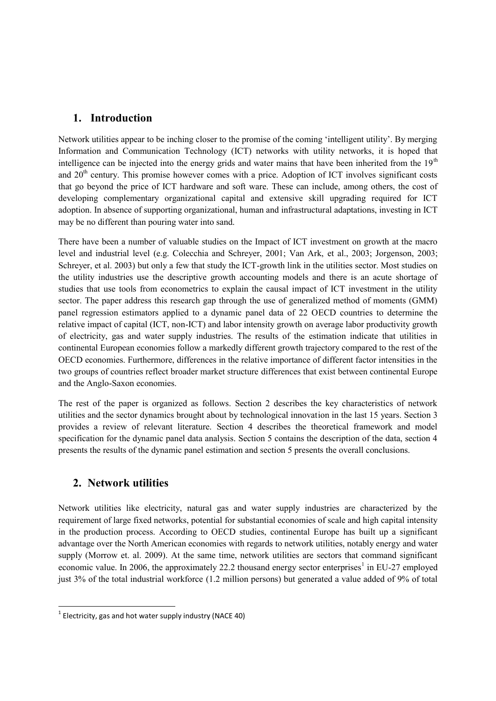# **1. Introduction**

Network utilities appear to be inching closer to the promise of the coming 'intelligent utility'. By merging Information and Communication Technology (ICT) networks with utility networks, it is hoped that intelligence can be injected into the energy grids and water mains that have been inherited from the  $19<sup>th</sup>$ and 20<sup>th</sup> century. This promise however comes with a price. Adoption of ICT involves significant costs that go beyond the price of ICT hardware and soft ware. These can include, among others, the cost of developing complementary organizational capital and extensive skill upgrading required for ICT adoption. In absence of supporting organizational, human and infrastructural adaptations, investing in ICT may be no different than pouring water into sand.

There have been a number of valuable studies on the Impact of ICT investment on growth at the macro level and industrial level (e.g. Colecchia and Schreyer, 2001; Van Ark, et al., 2003; Jorgenson, 2003; Schreyer, et al. 2003) but only a few that study the ICT-growth link in the utilities sector. Most studies on the utility industries use the descriptive growth accounting models and there is an acute shortage of studies that use tools from econometrics to explain the causal impact of ICT investment in the utility sector. The paper address this research gap through the use of generalized method of moments (GMM) panel regression estimators applied to a dynamic panel data of 22 OECD countries to determine the relative impact of capital (ICT, non-ICT) and labor intensity growth on average labor productivity growth of electricity, gas and water supply industries. The results of the estimation indicate that utilities in continental European economies follow a markedly different growth trajectory compared to the rest of the OECD economies. Furthermore, differences in the relative importance of different factor intensities in the two groups of countries reflect broader market structure differences that exist between continental Europe and the Anglo-Saxon economies.

The rest of the paper is organized as follows. Section 2 describes the key characteristics of network utilities and the sector dynamics brought about by technological innovation in the last 15 years. Section 3 provides a review of relevant literature. Section 4 describes the theoretical framework and model specification for the dynamic panel data analysis. Section 5 contains the description of the data, section 4 presents the results of the dynamic panel estimation and section 5 presents the overall conclusions.

# **2. Network utilities**

Network utilities like electricity, natural gas and water supply industries are characterized by the requirement of large fixed networks, potential for substantial economies of scale and high capital intensity in the production process. According to OECD studies, continental Europe has built up a significant advantage over the North American economies with regards to network utilities, notably energy and water supply (Morrow et. al. 2009). At the same time, network utilities are sectors that command significant economic value. In 2006, the approximately 22.2 thousand energy sector enterprises<sup>1</sup> in EU-27 employed just 3% of the total industrial workforce (1.2 million persons) but generated a value added of 9% of total

 $^{1}$  Electricity, gas and hot water supply industry (NACE 40)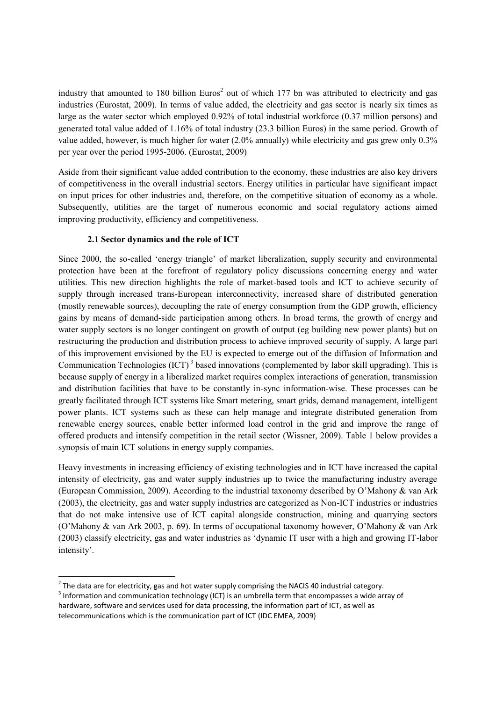industry that amounted to 180 billion Euros<sup>2</sup> out of which 177 bn was attributed to electricity and gas industries (Eurostat, 2009). In terms of value added, the electricity and gas sector is nearly six times as large as the water sector which employed 0.92% of total industrial workforce (0.37 million persons) and generated total value added of 1.16% of total industry (23.3 billion Euros) in the same period. Growth of value added, however, is much higher for water (2.0% annually) while electricity and gas grew only 0.3% per year over the period 1995-2006. (Eurostat, 2009)

Aside from their significant value added contribution to the economy, these industries are also key drivers of competitiveness in the overall industrial sectors. Energy utilities in particular have significant impact on input prices for other industries and, therefore, on the competitive situation of economy as a whole. Subsequently, utilities are the target of numerous economic and social regulatory actions aimed improving productivity, efficiency and competitiveness.

#### **2.1 Sector dynamics and the role of ICT**

Since 2000, the so-called 'energy triangle' of market liberalization, supply security and environmental protection have been at the forefront of regulatory policy discussions concerning energy and water utilities. This new direction highlights the role of market-based tools and ICT to achieve security of supply through increased trans-European interconnectivity, increased share of distributed generation (mostly renewable sources), decoupling the rate of energy consumption from the GDP growth, efficiency gains by means of demand-side participation among others. In broad terms, the growth of energy and water supply sectors is no longer contingent on growth of output (eg building new power plants) but on restructuring the production and distribution process to achieve improved security of supply. A large part of this improvement envisioned by the EU is expected to emerge out of the diffusion of Information and Communication Technologies (ICT)<sup>3</sup> based innovations (complemented by labor skill upgrading). This is because supply of energy in a liberalized market requires complex interactions of generation, transmission and distribution facilities that have to be constantly in-sync information-wise. These processes can be greatly facilitated through ICT systems like Smart metering, smart grids, demand management, intelligent power plants. ICT systems such as these can help manage and integrate distributed generation from renewable energy sources, enable better informed load control in the grid and improve the range of offered products and intensify competition in the retail sector (Wissner, 2009). Table 1 below provides a synopsis of main ICT solutions in energy supply companies.

Heavy investments in increasing efficiency of existing technologies and in ICT have increased the capital intensity of electricity, gas and water supply industries up to twice the manufacturing industry average (European Commission, 2009). According to the industrial taxonomy described by O'Mahony & van Ark (2003), the electricity, gas and water supply industries are categorized as Non-ICT industries or industries that do not make intensive use of ICT capital alongside construction, mining and quarrying sectors (O'Mahony & van Ark 2003, p. 69). In terms of occupational taxonomy however, O'Mahony & van Ark (2003) classify electricity, gas and water industries as 'dynamic IT user with a high and growing IT-labor intensity'.

 $^{2}$  The data are for electricity, gas and hot water supply comprising the NACIS 40 industrial category.

 $^3$  Information and communication technology (ICT) is an umbrella term that encompasses a wide array of hardware, software and services used for data processing, the information part of ICT, as well as telecommunications which is the communication part of ICT (IDC EMEA, 2009)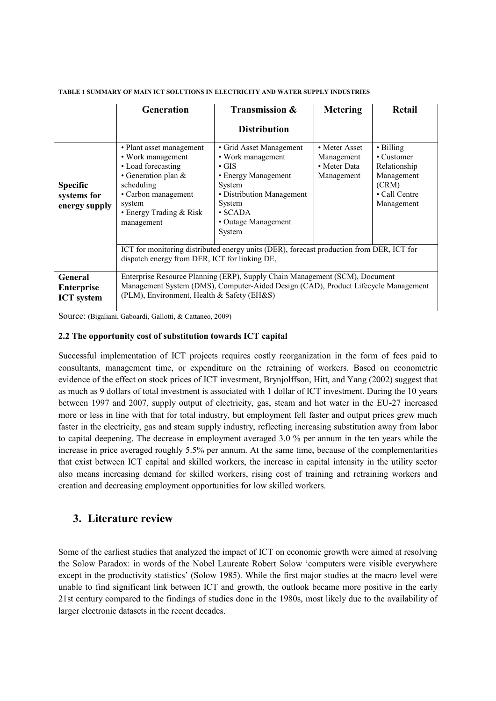|                                                 | Generation                                                                                                                                                                                                      | Transmission &                                                                                                                                                                        | <b>Metering</b>                                           | Retail                                                                                              |
|-------------------------------------------------|-----------------------------------------------------------------------------------------------------------------------------------------------------------------------------------------------------------------|---------------------------------------------------------------------------------------------------------------------------------------------------------------------------------------|-----------------------------------------------------------|-----------------------------------------------------------------------------------------------------|
|                                                 |                                                                                                                                                                                                                 | <b>Distribution</b>                                                                                                                                                                   |                                                           |                                                                                                     |
| <b>Specific</b><br>systems for<br>energy supply | • Plant asset management<br>• Work management<br>• Load forecasting<br>• Generation plan $&$<br>scheduling<br>• Carbon management<br>system<br>• Energy Trading $& Risk$<br>management                          | • Grid Asset Management<br>• Work management<br>$\cdot$ GIS<br>• Energy Management<br>System<br>• Distribution Management<br>System<br>$\cdot$ SCADA<br>• Outage Management<br>System | • Meter Asset<br>Management<br>• Meter Data<br>Management | $\cdot$ Billing<br>• Customer<br>Relationship<br>Management<br>(CRM)<br>• Call Centre<br>Management |
|                                                 | ICT for monitoring distributed energy units (DER), forecast production from DER, ICT for<br>dispatch energy from DER, ICT for linking DE,                                                                       |                                                                                                                                                                                       |                                                           |                                                                                                     |
| General<br>Enterprise<br><b>ICT</b> system      | Enterprise Resource Planning (ERP), Supply Chain Management (SCM), Document<br>Management System (DMS), Computer-Aided Design (CAD), Product Lifecycle Management<br>(PLM), Environment, Health & Safety (EH&S) |                                                                                                                                                                                       |                                                           |                                                                                                     |

#### **TABLE 1 SUMMARY OF MAIN ICT SOLUTIONS IN ELECTRICITY AND WATER SUPPLY INDUSTRIES**

Source: (Bigaliani, Gaboardi, Gallotti, & Cattaneo, 2009)

#### **2.2 The opportunity cost of substitution towards ICT capital**

Successful implementation of ICT projects requires costly reorganization in the form of fees paid to consultants, management time, or expenditure on the retraining of workers. Based on econometric evidence of the effect on stock prices of ICT investment, Brynjolffson, Hitt, and Yang (2002) suggest that as much as 9 dollars of total investment is associated with 1 dollar of ICT investment. During the 10 years between 1997 and 2007, supply output of electricity, gas, steam and hot water in the EU-27 increased more or less in line with that for total industry, but employment fell faster and output prices grew much faster in the electricity, gas and steam supply industry, reflecting increasing substitution away from labor to capital deepening. The decrease in employment averaged 3.0 % per annum in the ten years while the increase in price averaged roughly 5.5% per annum. At the same time, because of the complementarities that exist between ICT capital and skilled workers, the increase in capital intensity in the utility sector also means increasing demand for skilled workers, rising cost of training and retraining workers and creation and decreasing employment opportunities for low skilled workers.

## **3. Literature review**

Some of the earliest studies that analyzed the impact of ICT on economic growth were aimed at resolving the Solow Paradox: in words of the Nobel Laureate Robert Solow 'computers were visible everywhere except in the productivity statistics' (Solow 1985). While the first major studies at the macro level were unable to find significant link between ICT and growth, the outlook became more positive in the early 21st century compared to the findings of studies done in the 1980s, most likely due to the availability of larger electronic datasets in the recent decades.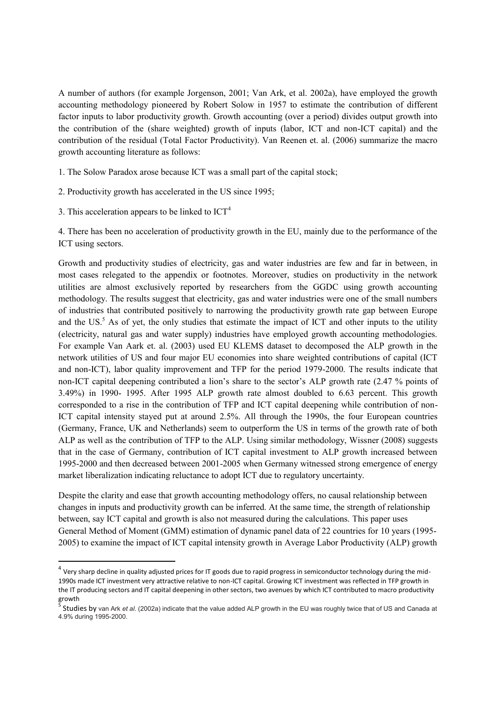A number of authors (for example Jorgenson, 2001; Van Ark, et al. 2002a), have employed the growth accounting methodology pioneered by Robert Solow in 1957 to estimate the contribution of different factor inputs to labor productivity growth. Growth accounting (over a period) divides output growth into the contribution of the (share weighted) growth of inputs (labor, ICT and non-ICT capital) and the contribution of the residual (Total Factor Productivity). Van Reenen et. al. (2006) summarize the macro growth accounting literature as follows:

1. The Solow Paradox arose because ICT was a small part of the capital stock;

- 2. Productivity growth has accelerated in the US since 1995;
- 3. This acceleration appears to be linked to  $ICT<sup>4</sup>$

4. There has been no acceleration of productivity growth in the EU, mainly due to the performance of the ICT using sectors.

Growth and productivity studies of electricity, gas and water industries are few and far in between, in most cases relegated to the appendix or footnotes. Moreover, studies on productivity in the network utilities are almost exclusively reported by researchers from the GGDC using growth accounting methodology. The results suggest that electricity, gas and water industries were one of the small numbers of industries that contributed positively to narrowing the productivity growth rate gap between Europe and the US.<sup>5</sup> As of yet, the only studies that estimate the impact of ICT and other inputs to the utility (electricity, natural gas and water supply) industries have employed growth accounting methodologies. For example Van Aark et. al. (2003) used EU KLEMS dataset to decomposed the ALP growth in the network utilities of US and four major EU economies into share weighted contributions of capital (ICT and non-ICT), labor quality improvement and TFP for the period 1979-2000. The results indicate that non-ICT capital deepening contributed a lion's share to the sector's ALP growth rate (2.47 % points of 3.49%) in 1990- 1995. After 1995 ALP growth rate almost doubled to 6.63 percent. This growth corresponded to a rise in the contribution of TFP and ICT capital deepening while contribution of non-ICT capital intensity stayed put at around 2.5%. All through the 1990s, the four European countries (Germany, France, UK and Netherlands) seem to outperform the US in terms of the growth rate of both ALP as well as the contribution of TFP to the ALP. Using similar methodology, Wissner (2008) suggests that in the case of Germany, contribution of ICT capital investment to ALP growth increased between 1995-2000 and then decreased between 2001-2005 when Germany witnessed strong emergence of energy market liberalization indicating reluctance to adopt ICT due to regulatory uncertainty.

Despite the clarity and ease that growth accounting methodology offers, no causal relationship between changes in inputs and productivity growth can be inferred. At the same time, the strength of relationship between, say ICT capital and growth is also not measured during the calculations. This paper uses General Method of Moment (GMM) estimation of dynamic panel data of 22 countries for 10 years (1995- 2005) to examine the impact of ICT capital intensity growth in Average Labor Productivity (ALP) growth

 $^4$  Very sharp decline in quality adjusted prices for IT goods due to rapid progress in semiconductor technology during the mid-1990s made ICT investment very attractive relative to non-ICT capital. Growing ICT investment was reflected in TFP growth in the IT producing sectors and IT capital deepening in other sectors, two avenues by which ICT contributed to macro productivity growth<br><sup>5</sup> C+…di

Studies by van Ark *et al*. (2002a) indicate that the value added ALP growth in the EU was roughly twice that of US and Canada at 4.9% during 1995-2000.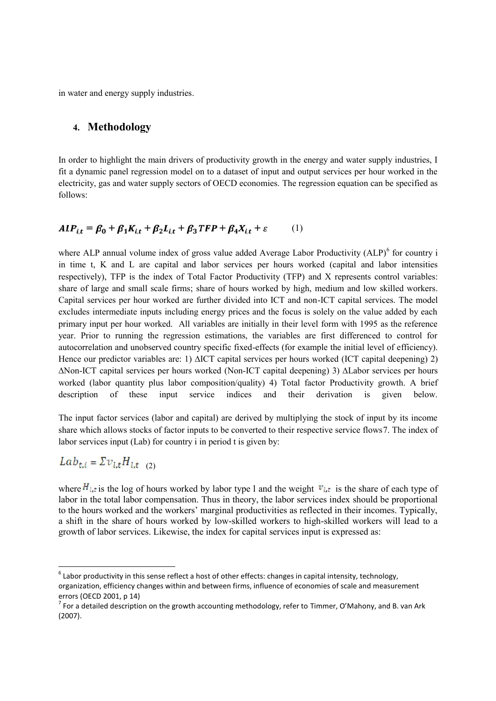in water and energy supply industries.

### **4. Methodology**

In order to highlight the main drivers of productivity growth in the energy and water supply industries, I fit a dynamic panel regression model on to a dataset of input and output services per hour worked in the electricity, gas and water supply sectors of OECD economies. The regression equation can be specified as follows:

## $ALP_{it} = \beta_0 + \beta_1 K_{it} + \beta_2 L_{it} + \beta_3 TFP + \beta_4 X_{it} + \epsilon$  (1)

where ALP annual volume index of gross value added Average Labor Productivity  $(ALP)^6$  for country i in time t, K and L are capital and labor services per hours worked (capital and labor intensities respectively), TFP is the index of Total Factor Productivity (TFP) and X represents control variables: share of large and small scale firms; share of hours worked by high, medium and low skilled workers. Capital services per hour worked are further divided into ICT and non-ICT capital services. The model excludes intermediate inputs including energy prices and the focus is solely on the value added by each primary input per hour worked. All variables are initially in their level form with 1995 as the reference year. Prior to running the regression estimations, the variables are first differenced to control for autocorrelation and unobserved country specific fixed-effects (for example the initial level of efficiency). Hence our predictor variables are: 1) ∆ICT capital services per hours worked (ICT capital deepening) 2) ∆Non-ICT capital services per hours worked (Non-ICT capital deepening) 3) ∆Labor services per hours worked (labor quantity plus labor composition/quality) 4) Total factor Productivity growth. A brief description of these input service indices and their derivation is given below.

The input factor services (labor and capital) are derived by multiplying the stock of input by its income share which allows stocks of factor inputs to be converted to their respective service flows7. The index of labor services input (Lab) for country i in period t is given by:

$$
Lab_{t,i} = \Sigma v_{i,t} H_{i,t} \quad (2)
$$

where  $H_{i,t}$  is the log of hours worked by labor type l and the weight  $v_{i,t}$  is the share of each type of labor in the total labor compensation. Thus in theory, the labor services index should be proportional to the hours worked and the workers' marginal productivities as reflected in their incomes. Typically, a shift in the share of hours worked by low-skilled workers to high-skilled workers will lead to a growth of labor services. Likewise, the index for capital services input is expressed as:

 $^6$  Labor productivity in this sense reflect a host of other effects: changes in capital intensity, technology, organization, efficiency changes within and between firms, influence of economies of scale and measurement errors (OECD 2001, p 14)

 $^7$  For a detailed description on the growth accounting methodology, refer to Timmer, O'Mahony, and B. van Ark (2007).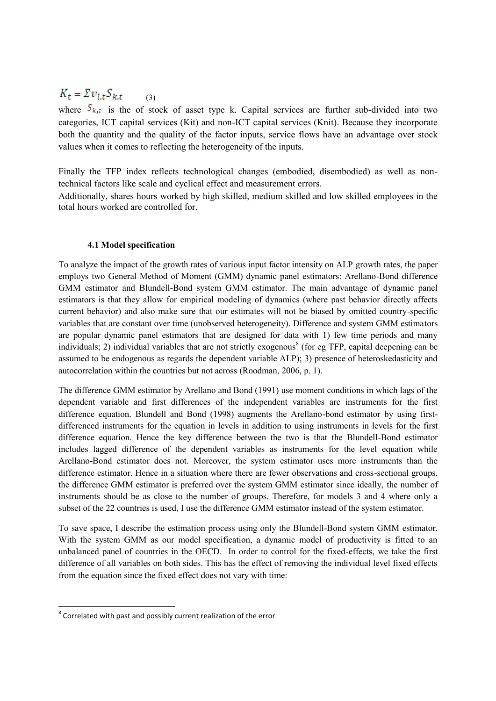#### $K_t = \Sigma v_{l,t} S_{k,t}$ (3)

where  $S_{k,t}$  is the of stock of asset type k. Capital services are further sub-divided into two categories, ICT capital services (Kit) and non-ICT capital services (Knit). Because they incorporate both the quantity and the quality of the factor inputs, service flows have an advantage over stock values when it comes to reflecting the heterogeneity of the inputs.

Finally the TFP index reflects technological changes (embodied, disembodied) as well as nontechnical factors like scale and cyclical effect and measurement errors.

Additionally, shares hours worked by high skilled, medium skilled and low skilled employees in the total hours worked are controlled for.

#### **4.1 Model specification**

To analyze the impact of the growth rates of various input factor intensity on ALP growth rates, the paper employs two General Method of Moment (GMM) dynamic panel estimators: Arellano-Bond difference GMM estimator and Blundell-Bond system GMM estimator. The main advantage of dynamic panel estimators is that they allow for empirical modeling of dynamics (where past behavior directly affects current behavior) and also make sure that our estimates will not be biased by omitted country-specific variables that are constant over time (unobserved heterogeneity). Difference and system GMM estimators are popular dynamic panel estimators that are designed for data with 1) few time periods and many individuals; 2) individual variables that are not strictly exogenous<sup>8</sup> (for eg TFP, capital deepening can be assumed to be endogenous as regards the dependent variable ALP); 3) presence of heteroskedasticity and autocorrelation within the countries but not across (Roodman, 2006, p. 1).

The difference GMM estimator by Arellano and Bond (1991) use moment conditions in which lags of the dependent variable and first differences of the independent variables are instruments for the first difference equation. Blundell and Bond (1998) augments the Arellano-bond estimator by using firstdifferenced instruments for the equation in levels in addition to using instruments in levels for the first difference equation. Hence the key difference between the two is that the Blundell-Bond estimator includes lagged difference of the dependent variables as instruments for the level equation while Arellano-Bond estimator does not. Moreover, the system estimator uses more instruments than the difference estimator. Hence in a situation where there are fewer observations and cross-sectional groups, the difference GMM estimator is preferred over the system GMM estimator since ideally, the number of instruments should be as close to the number of groups. Therefore, for models 3 and 4 where only a subset of the 22 countries is used, I use the difference GMM estimator instead of the system estimator.

To save space, I describe the estimation process using only the Blundell-Bond system GMM estimator. With the system GMM as our model specification, a dynamic model of productivity is fitted to an unbalanced panel of countries in the OECD. In order to control for the fixed-effects, we take the first difference of all variables on both sides. This has the effect of removing the individual level fixed effects from the equation since the fixed effect does not vary with time:

 $8$  Correlated with past and possibly current realization of the error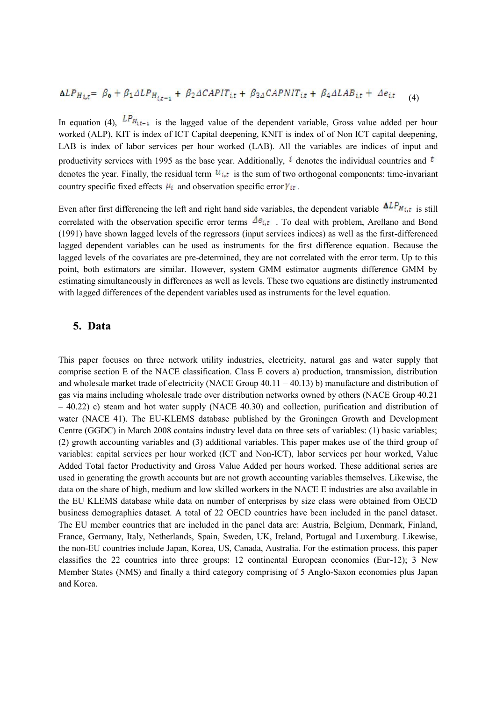$$
\Delta LP_{Hi,t} = \beta_0 + \beta_1 \Delta LP_{Hi,t-1} + \beta_2 \Delta CAPIT_{it} + \beta_{3\Delta} CAPNIT_{it} + \beta_4 \Delta LAB_{it} + \Delta e_{it} \tag{4}
$$

In equation (4),  $L P_{H_{\xi_{t-1}}}$  is the lagged value of the dependent variable, Gross value added per hour worked (ALP), KIT is index of ICT Capital deepening, KNIT is index of of Non ICT capital deepening, LAB is index of labor services per hour worked (LAB). All the variables are indices of input and productivity services with 1995 as the base year. Additionally,  $\ell$  denotes the individual countries and  $\ell$ denotes the year. Finally, the residual term  $u_{i,t}$  is the sum of two orthogonal components: time-invariant country specific fixed effects  $\mu_i$  and observation specific error  $\gamma_{it}$ .

Even after first differencing the left and right hand side variables, the dependent variable  $\Delta LP_{H_{i,t}}$  is still correlated with the observation specific error terms  $\Delta e_{i,t}$ . To deal with problem, Arellano and Bond (1991) have shown lagged levels of the regressors (input services indices) as well as the first-differenced lagged dependent variables can be used as instruments for the first difference equation. Because the lagged levels of the covariates are pre-determined, they are not correlated with the error term. Up to this point, both estimators are similar. However, system GMM estimator augments difference GMM by estimating simultaneously in differences as well as levels. These two equations are distinctly instrumented with lagged differences of the dependent variables used as instruments for the level equation.

#### **5. Data**

This paper focuses on three network utility industries, electricity, natural gas and water supply that comprise section E of the NACE classification. Class E covers a) production, transmission, distribution and wholesale market trade of electricity (NACE Group  $40.11 - 40.13$ ) b) manufacture and distribution of gas via mains including wholesale trade over distribution networks owned by others (NACE Group 40.21 – 40.22) c) steam and hot water supply (NACE 40.30) and collection, purification and distribution of water (NACE 41). The EU-KLEMS database published by the Groningen Growth and Development Centre (GGDC) in March 2008 contains industry level data on three sets of variables: (1) basic variables; (2) growth accounting variables and (3) additional variables. This paper makes use of the third group of variables: capital services per hour worked (ICT and Non-ICT), labor services per hour worked, Value Added Total factor Productivity and Gross Value Added per hours worked. These additional series are used in generating the growth accounts but are not growth accounting variables themselves. Likewise, the data on the share of high, medium and low skilled workers in the NACE E industries are also available in the EU KLEMS database while data on number of enterprises by size class were obtained from OECD business demographics dataset. A total of 22 OECD countries have been included in the panel dataset. The EU member countries that are included in the panel data are: Austria, Belgium, Denmark, Finland, France, Germany, Italy, Netherlands, Spain, Sweden, UK, Ireland, Portugal and Luxemburg. Likewise, the non-EU countries include Japan, Korea, US, Canada, Australia. For the estimation process, this paper classifies the 22 countries into three groups: 12 continental European economies (Eur-12); 3 New Member States (NMS) and finally a third category comprising of 5 Anglo-Saxon economies plus Japan and Korea.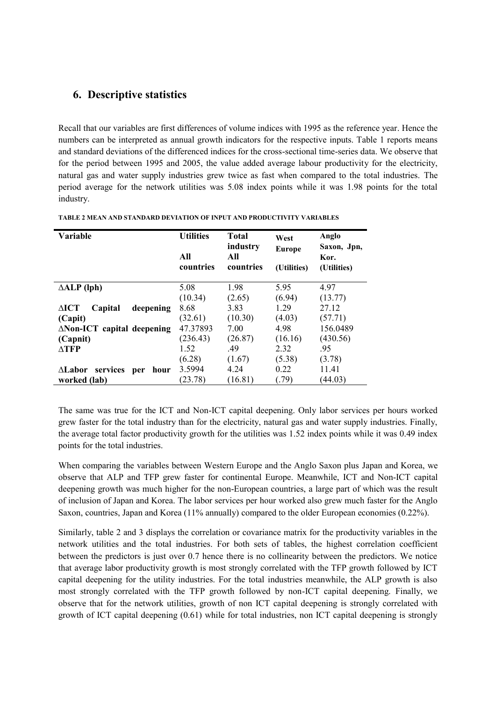# **6. Descriptive statistics**

Recall that our variables are first differences of volume indices with 1995 as the reference year. Hence the numbers can be interpreted as annual growth indicators for the respective inputs. Table 1 reports means and standard deviations of the differenced indices for the cross-sectional time-series data. We observe that for the period between 1995 and 2005, the value added average labour productivity for the electricity, natural gas and water supply industries grew twice as fast when compared to the total industries. The period average for the network utilities was 5.08 index points while it was 1.98 points for the total industry.

| Variable                                | <b>Utilities</b><br>All<br>countries | <b>Total</b><br>industry<br>All<br>countries | West<br><b>Europe</b><br>(Utilities) | Anglo<br>Saxon, Jpn,<br>Kor.<br>(Utilities) |
|-----------------------------------------|--------------------------------------|----------------------------------------------|--------------------------------------|---------------------------------------------|
| $\triangle ALP$ (lph)                   | 5.08                                 | 1.98                                         | 5.95                                 | 4.97                                        |
|                                         | (10.34)                              | (2.65)                                       | (6.94)                               | (13.77)                                     |
| $\triangle$ ICT<br>Capital<br>deepening | 8.68                                 | 3.83                                         | 1.29                                 | 27.12                                       |
| (Capit)                                 | (32.61)                              | (10.30)                                      | (4.03)                               | (57.71)                                     |
| $\triangle$ Non-ICT capital deepening   | 47.37893                             | 7.00                                         | 4.98                                 | 156.0489                                    |
| (Capnit)                                | (236.43)                             | (26.87)                                      | (16.16)                              | (430.56)                                    |
| $\triangle TFP$                         | 1.52                                 | .49                                          | 2.32                                 | .95                                         |
|                                         | (6.28)                               | (1.67)                                       | (5.38)                               | (3.78)                                      |
| ∆Labor<br>services<br>hour<br>per       | 3.5994                               | 4.24                                         | 0.22                                 | 11.41                                       |
| worked (lab)                            | (23.78)                              | (16.81)                                      | (79)                                 | (44.03)                                     |

**TABLE 2 MEAN AND STANDARD DEVIATION OF INPUT AND PRODUCTIVITY VARIABLES**

The same was true for the ICT and Non-ICT capital deepening. Only labor services per hours worked grew faster for the total industry than for the electricity, natural gas and water supply industries. Finally, the average total factor productivity growth for the utilities was 1.52 index points while it was 0.49 index points for the total industries.

When comparing the variables between Western Europe and the Anglo Saxon plus Japan and Korea, we observe that ALP and TFP grew faster for continental Europe. Meanwhile, ICT and Non-ICT capital deepening growth was much higher for the non-European countries, a large part of which was the result of inclusion of Japan and Korea. The labor services per hour worked also grew much faster for the Anglo Saxon, countries, Japan and Korea (11% annually) compared to the older European economies (0.22%).

Similarly, table 2 and 3 displays the correlation or covariance matrix for the productivity variables in the network utilities and the total industries. For both sets of tables, the highest correlation coefficient between the predictors is just over 0.7 hence there is no collinearity between the predictors. We notice that average labor productivity growth is most strongly correlated with the TFP growth followed by ICT capital deepening for the utility industries. For the total industries meanwhile, the ALP growth is also most strongly correlated with the TFP growth followed by non-ICT capital deepening. Finally, we observe that for the network utilities, growth of non ICT capital deepening is strongly correlated with growth of ICT capital deepening (0.61) while for total industries, non ICT capital deepening is strongly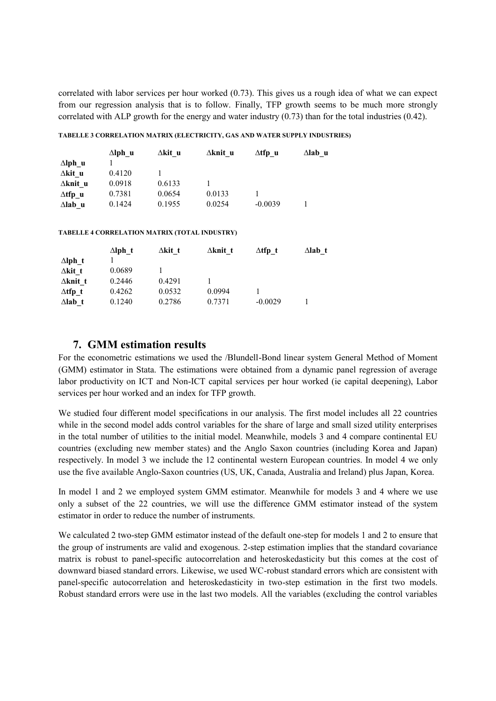correlated with labor services per hour worked (0.73). This gives us a rough idea of what we can expect from our regression analysis that is to follow. Finally, TFP growth seems to be much more strongly correlated with ALP growth for the energy and water industry (0.73) than for the total industries (0.42).

#### **TABELLE 3 CORRELATION MATRIX (ELECTRICITY, GAS AND WATER SUPPLY INDUSTRIES)**

|                 | $\Delta$ lph u | ∆kit u | ∆knit u | $\Delta$ tfp u | $\Delta$ labu |
|-----------------|----------------|--------|---------|----------------|---------------|
| $\Delta$ lph u  |                |        |         |                |               |
| ∆kit u          | 0.4120         |        |         |                |               |
| $\Delta$ knit u | 0.0918         | 0.6133 |         |                |               |
| $\Delta$ tfp u  | 0.7381         | 0.0654 | 0.0133  |                |               |
| $\Delta$ lab u  | 0.1424         | 0.1955 | 0.0254  | $-0.0039$      |               |

**TABELLE 4 CORRELATION MATRIX (TOTAL INDUSTRY)**

|                 | $\Delta$ lph t | $\Delta$ kit t | $\Delta$ knit t | $\Delta$ tfp t | $\Delta$ lab t |
|-----------------|----------------|----------------|-----------------|----------------|----------------|
| $\Delta$ lph t  |                |                |                 |                |                |
| $\Delta$ kit t  | 0.0689         |                |                 |                |                |
| $\Delta$ knit t | 0.2446         | 0.4291         |                 |                |                |
| $\Delta$ tfp t  | 0.4262         | 0.0532         | 0.0994          |                |                |
| $\Delta$ lab t  | 0.1240         | 0.2786         | 0.7371          | $-0.0029$      |                |

### **7. GMM estimation results**

For the econometric estimations we used the /Blundell-Bond linear system General Method of Moment (GMM) estimator in Stata. The estimations were obtained from a dynamic panel regression of average labor productivity on ICT and Non-ICT capital services per hour worked (ie capital deepening), Labor services per hour worked and an index for TFP growth.

We studied four different model specifications in our analysis. The first model includes all 22 countries while in the second model adds control variables for the share of large and small sized utility enterprises in the total number of utilities to the initial model. Meanwhile, models 3 and 4 compare continental EU countries (excluding new member states) and the Anglo Saxon countries (including Korea and Japan) respectively. In model 3 we include the 12 continental western European countries. In model 4 we only use the five available Anglo-Saxon countries (US, UK, Canada, Australia and Ireland) plus Japan, Korea.

In model 1 and 2 we employed system GMM estimator. Meanwhile for models 3 and 4 where we use only a subset of the 22 countries, we will use the difference GMM estimator instead of the system estimator in order to reduce the number of instruments.

We calculated 2 two-step GMM estimator instead of the default one-step for models 1 and 2 to ensure that the group of instruments are valid and exogenous. 2-step estimation implies that the standard covariance matrix is robust to panel-specific autocorrelation and heteroskedasticity but this comes at the cost of downward biased standard errors. Likewise, we used WC-robust standard errors which are consistent with panel-specific autocorrelation and heteroskedasticity in two-step estimation in the first two models. Robust standard errors were use in the last two models. All the variables (excluding the control variables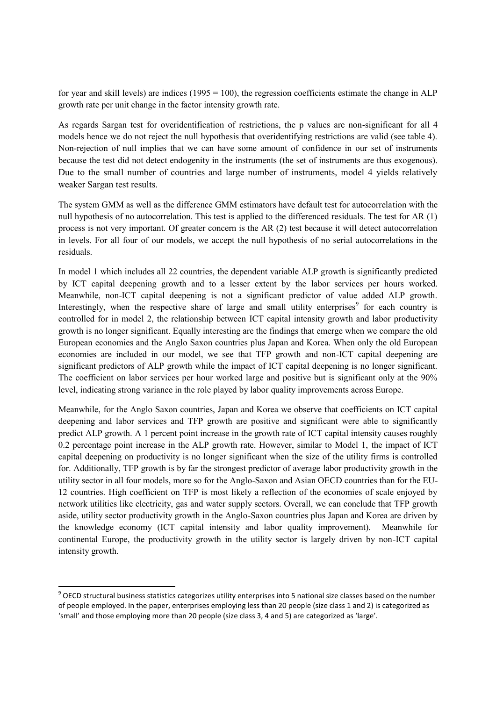for year and skill levels) are indices  $(1995 = 100)$ , the regression coefficients estimate the change in ALP growth rate per unit change in the factor intensity growth rate.

As regards Sargan test for overidentification of restrictions, the p values are non-significant for all 4 models hence we do not reject the null hypothesis that overidentifying restrictions are valid (see table 4). Non-rejection of null implies that we can have some amount of confidence in our set of instruments because the test did not detect endogenity in the instruments (the set of instruments are thus exogenous). Due to the small number of countries and large number of instruments, model 4 yields relatively weaker Sargan test results.

The system GMM as well as the difference GMM estimators have default test for autocorrelation with the null hypothesis of no autocorrelation. This test is applied to the differenced residuals. The test for AR (1) process is not very important. Of greater concern is the AR (2) test because it will detect autocorrelation in levels. For all four of our models, we accept the null hypothesis of no serial autocorrelations in the residuals.

In model 1 which includes all 22 countries, the dependent variable ALP growth is significantly predicted by ICT capital deepening growth and to a lesser extent by the labor services per hours worked. Meanwhile, non-ICT capital deepening is not a significant predictor of value added ALP growth. Interestingly, when the respective share of large and small utility enterprises<sup>9</sup> for each country is controlled for in model 2, the relationship between ICT capital intensity growth and labor productivity growth is no longer significant. Equally interesting are the findings that emerge when we compare the old European economies and the Anglo Saxon countries plus Japan and Korea. When only the old European economies are included in our model, we see that TFP growth and non-ICT capital deepening are significant predictors of ALP growth while the impact of ICT capital deepening is no longer significant. The coefficient on labor services per hour worked large and positive but is significant only at the 90% level, indicating strong variance in the role played by labor quality improvements across Europe.

Meanwhile, for the Anglo Saxon countries, Japan and Korea we observe that coefficients on ICT capital deepening and labor services and TFP growth are positive and significant were able to significantly predict ALP growth. A 1 percent point increase in the growth rate of ICT capital intensity causes roughly 0.2 percentage point increase in the ALP growth rate. However, similar to Model 1, the impact of ICT capital deepening on productivity is no longer significant when the size of the utility firms is controlled for. Additionally, TFP growth is by far the strongest predictor of average labor productivity growth in the utility sector in all four models, more so for the Anglo-Saxon and Asian OECD countries than for the EU-12 countries. High coefficient on TFP is most likely a reflection of the economies of scale enjoyed by network utilities like electricity, gas and water supply sectors. Overall, we can conclude that TFP growth aside, utility sector productivity growth in the Anglo-Saxon countries plus Japan and Korea are driven by the knowledge economy (ICT capital intensity and labor quality improvement). Meanwhile for continental Europe, the productivity growth in the utility sector is largely driven by non-ICT capital intensity growth.

 $^9$  OECD structural business statistics categorizes utility enterprises into 5 national size classes based on the number of people employed. In the paper, enterprises employing less than 20 people (size class 1 and 2) is categorized as 'small' and those employing more than 20 people (size class 3, 4 and 5) are categorized as 'large'.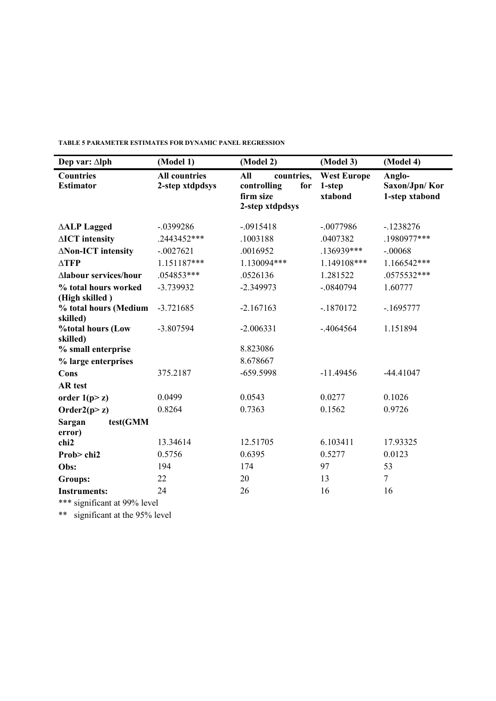| Dep var: $\Delta$ lph                  | (Model 1)                               | (Model 2)                                                               | (Model 3)                               | (Model 4)                                 |  |
|----------------------------------------|-----------------------------------------|-------------------------------------------------------------------------|-----------------------------------------|-------------------------------------------|--|
| <b>Countries</b><br><b>Estimator</b>   | <b>All countries</b><br>2-step xtdpdsys | All<br>countries,<br>controlling<br>for<br>firm size<br>2-step xtdpdsys | <b>West Europe</b><br>1-step<br>xtabond | Anglo-<br>Saxon/Jpn/Kor<br>1-step xtabond |  |
| <b>AALP</b> Lagged                     | $-.0399286$                             | $-.0915418$                                                             | $-.0077986$                             | $-1238276$                                |  |
| $\triangle$ ICT intensity              | .2443452***                             | .1003188                                                                | .0407382                                | .1980977***                               |  |
| ∆Non-ICT intensity                     | $-.0027621$                             | .0016952                                                                | .136939***                              | $-.00068$                                 |  |
| $\triangle TFP$                        | 1.151187***                             | 1.130094***                                                             | 1.149108***                             | 1.166542***                               |  |
| ∆labour services/hour                  | .054853***                              | .0526136                                                                | 1.281522                                | .0575532***                               |  |
| % total hours worked<br>(High skilled) | $-3.739932$                             | $-2.349973$                                                             | $-.0840794$                             | 1.60777                                   |  |
| % total hours (Medium<br>skilled)      | $-3.721685$                             | $-2.167163$                                                             | $-1870172$                              | $-1695777$                                |  |
| %total hours (Low<br>skilled)          | $-3.807594$                             | $-2.006331$                                                             | $-.4064564$                             | 1.151894                                  |  |
| % small enterprise                     |                                         | 8.823086                                                                |                                         |                                           |  |
| % large enterprises                    |                                         | 8.678667                                                                |                                         |                                           |  |
| Cons                                   | 375.2187                                | $-659.5998$                                                             | $-11.49456$                             | $-44.41047$                               |  |
| <b>AR</b> test                         |                                         |                                                                         |                                         |                                           |  |
| order $1(p>z)$                         | 0.0499                                  | 0.0543                                                                  | 0.0277                                  | 0.1026                                    |  |
| Order $2(p>z)$                         | 0.8264                                  | 0.7363                                                                  | 0.1562                                  | 0.9726                                    |  |
| test(GMM<br>Sargan<br>error)           |                                         |                                                                         |                                         |                                           |  |
| chi2                                   | 13.34614                                | 12.51705                                                                | 6.103411                                | 17.93325                                  |  |
| Prob>chi2                              | 0.5756                                  | 0.6395                                                                  | 0.5277                                  | 0.0123                                    |  |
| Obs:                                   | 194                                     | 174                                                                     | 97                                      | 53                                        |  |
| <b>Groups:</b>                         | 22                                      | 20                                                                      | 13                                      | $\overline{7}$                            |  |
| <b>Instruments:</b>                    | 24                                      | 26                                                                      | 16                                      | 16                                        |  |
| *** significant at 99% level           |                                         |                                                                         |                                         |                                           |  |

**TABLE 5 PARAMETER ESTIMATES FOR DYNAMIC PANEL REGRESSION**

\* significant at 99% level

\*\* significant at the 95% level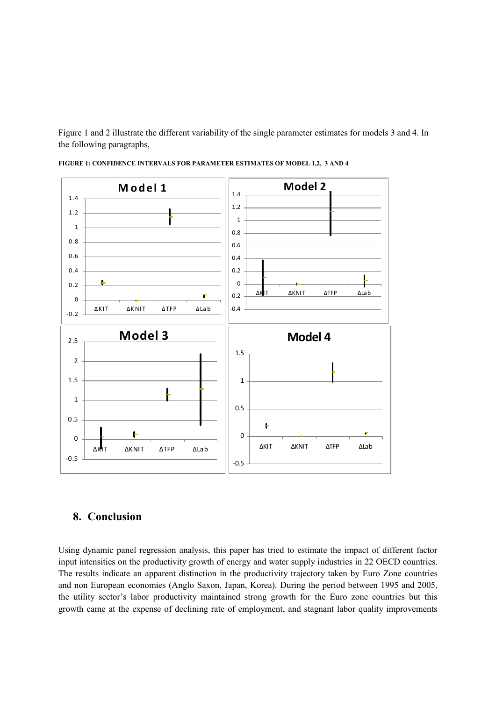Figure 1 and 2 illustrate the different variability of the single parameter estimates for models 3 and 4. In the following paragraphs,



**FIGURE 1: CONFIDENCE INTERVALS FOR PARAMETER ESTIMATES OF MODEL 1,2, 3 AND 4**

#### **8. Conclusion**

Using dynamic panel regression analysis, this paper has tried to estimate the impact of different factor input intensities on the productivity growth of energy and water supply industries in 22 OECD countries. The results indicate an apparent distinction in the productivity trajectory taken by Euro Zone countries and non European economies (Anglo Saxon, Japan, Korea). During the period between 1995 and 2005, the utility sector's labor productivity maintained strong growth for the Euro zone countries but this growth came at the expense of declining rate of employment, and stagnant labor quality improvements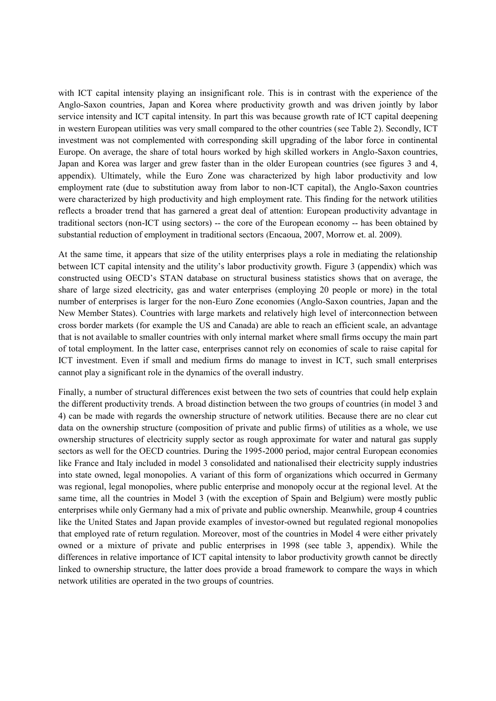with ICT capital intensity playing an insignificant role. This is in contrast with the experience of the Anglo-Saxon countries, Japan and Korea where productivity growth and was driven jointly by labor service intensity and ICT capital intensity. In part this was because growth rate of ICT capital deepening in western European utilities was very small compared to the other countries (see Table 2). Secondly, ICT investment was not complemented with corresponding skill upgrading of the labor force in continental Europe. On average, the share of total hours worked by high skilled workers in Anglo-Saxon countries, Japan and Korea was larger and grew faster than in the older European countries (see figures 3 and 4, appendix). Ultimately, while the Euro Zone was characterized by high labor productivity and low employment rate (due to substitution away from labor to non-ICT capital), the Anglo-Saxon countries were characterized by high productivity and high employment rate. This finding for the network utilities reflects a broader trend that has garnered a great deal of attention: European productivity advantage in traditional sectors (non-ICT using sectors) -- the core of the European economy -- has been obtained by substantial reduction of employment in traditional sectors (Encaoua, 2007, Morrow et. al. 2009).

At the same time, it appears that size of the utility enterprises plays a role in mediating the relationship between ICT capital intensity and the utility's labor productivity growth. Figure 3 (appendix) which was constructed using OECD's STAN database on structural business statistics shows that on average, the share of large sized electricity, gas and water enterprises (employing 20 people or more) in the total number of enterprises is larger for the non-Euro Zone economies (Anglo-Saxon countries, Japan and the New Member States). Countries with large markets and relatively high level of interconnection between cross border markets (for example the US and Canada) are able to reach an efficient scale, an advantage that is not available to smaller countries with only internal market where small firms occupy the main part of total employment. In the latter case, enterprises cannot rely on economies of scale to raise capital for ICT investment. Even if small and medium firms do manage to invest in ICT, such small enterprises cannot play a significant role in the dynamics of the overall industry.

Finally, a number of structural differences exist between the two sets of countries that could help explain the different productivity trends. A broad distinction between the two groups of countries (in model 3 and 4) can be made with regards the ownership structure of network utilities. Because there are no clear cut data on the ownership structure (composition of private and public firms) of utilities as a whole, we use ownership structures of electricity supply sector as rough approximate for water and natural gas supply sectors as well for the OECD countries. During the 1995-2000 period, major central European economies like France and Italy included in model 3 consolidated and nationalised their electricity supply industries into state owned, legal monopolies. A variant of this form of organizations which occurred in Germany was regional, legal monopolies, where public enterprise and monopoly occur at the regional level. At the same time, all the countries in Model 3 (with the exception of Spain and Belgium) were mostly public enterprises while only Germany had a mix of private and public ownership. Meanwhile, group 4 countries like the United States and Japan provide examples of investor-owned but regulated regional monopolies that employed rate of return regulation. Moreover, most of the countries in Model 4 were either privately owned or a mixture of private and public enterprises in 1998 (see table 3, appendix). While the differences in relative importance of ICT capital intensity to labor productivity growth cannot be directly linked to ownership structure, the latter does provide a broad framework to compare the ways in which network utilities are operated in the two groups of countries.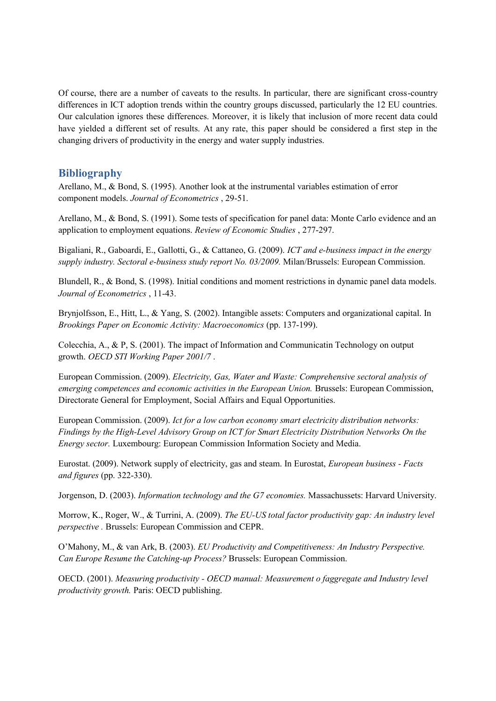Of course, there are a number of caveats to the results. In particular, there are significant cross-country differences in ICT adoption trends within the country groups discussed, particularly the 12 EU countries. Our calculation ignores these differences. Moreover, it is likely that inclusion of more recent data could have yielded a different set of results. At any rate, this paper should be considered a first step in the changing drivers of productivity in the energy and water supply industries.

### **Bibliography**

Arellano, M., & Bond, S. (1995). Another look at the instrumental variables estimation of error component models. *Journal of Econometrics* , 29-51.

Arellano, M., & Bond, S. (1991). Some tests of specification for panel data: Monte Carlo evidence and an application to employment equations. *Review of Economic Studies* , 277-297.

Bigaliani, R., Gaboardi, E., Gallotti, G., & Cattaneo, G. (2009). *ICT and e-business impact in the energy supply industry. Sectoral e-business study report No. 03/2009.* Milan/Brussels: European Commission.

Blundell, R., & Bond, S. (1998). Initial conditions and moment restrictions in dynamic panel data models. *Journal of Econometrics* , 11-43.

Brynjolfsson, E., Hitt, L., & Yang, S. (2002). Intangible assets: Computers and organizational capital. In *Brookings Paper on Economic Activity: Macroeconomics* (pp. 137-199).

Colecchia, A., & P, S. (2001). The impact of Information and Communicatin Technology on output growth. *OECD STI Working Paper 2001/7* .

European Commission. (2009). *Electricity, Gas, Water and Waste: Comprehensive sectoral analysis of emerging competences and economic activities in the European Union.* Brussels: European Commission, Directorate General for Employment, Social Affairs and Equal Opportunities.

European Commission. (2009). *Ict for a low carbon economy smart electricity distribution networks: Findings by the High-Level Advisory Group on ICT for Smart Electricity Distribution Networks On the Energy sector.* Luxembourg: European Commission Information Society and Media.

Eurostat. (2009). Network supply of electricity, gas and steam. In Eurostat, *European business - Facts and figures* (pp. 322-330).

Jorgenson, D. (2003). *Information technology and the G7 economies.* Massachussets: Harvard University.

Morrow, K., Roger, W., & Turrini, A. (2009). *The EU-US total factor productivity gap: An industry level perspective .* Brussels: European Commission and CEPR.

O'Mahony, M., & van Ark, B. (2003). *EU Productivity and Competitiveness: An Industry Perspective. Can Europe Resume the Catching-up Process?* Brussels: European Commission.

OECD. (2001). *Measuring productivity - OECD manual: Measurement o faggregate and Industry level productivity growth.* Paris: OECD publishing.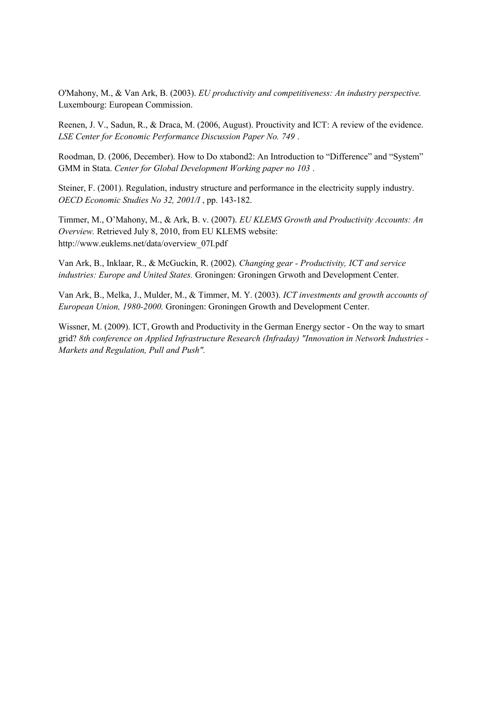O'Mahony, M., & Van Ark, B. (2003). *EU productivity and competitiveness: An industry perspective.* Luxembourg: European Commission.

Reenen, J. V., Sadun, R., & Draca, M. (2006, August). Prouctivity and ICT: A review of the evidence. *LSE Center for Economic Performance Discussion Paper No. 749* .

Roodman, D. (2006, December). How to Do xtabond2: An Introduction to "Difference" and "System" GMM in Stata. *Center for Global Development Working paper no 103* .

Steiner, F. (2001). Regulation, industry structure and performance in the electricity supply industry. *OECD Economic Studies No 32, 2001/I* , pp. 143-182.

Timmer, M., O'Mahony, M., & Ark, B. v. (2007). *EU KLEMS Growth and Productivity Accounts: An Overview.* Retrieved July 8, 2010, from EU KLEMS website: http://www.euklems.net/data/overview\_07I.pdf

Van Ark, B., Inklaar, R., & McGuckin, R. (2002). *Changing gear - Productivity, ICT and service industries: Europe and United States.* Groningen: Groningen Grwoth and Development Center.

Van Ark, B., Melka, J., Mulder, M., & Timmer, M. Y. (2003). *ICT investments and growth accounts of European Union, 1980-2000.* Groningen: Groningen Growth and Development Center.

Wissner, M. (2009). ICT, Growth and Productivity in the German Energy sector - On the way to smart grid? *8th conference on Applied Infrastructure Research (Infraday) "Innovation in Network Industries - Markets and Regulation, Pull and Push".*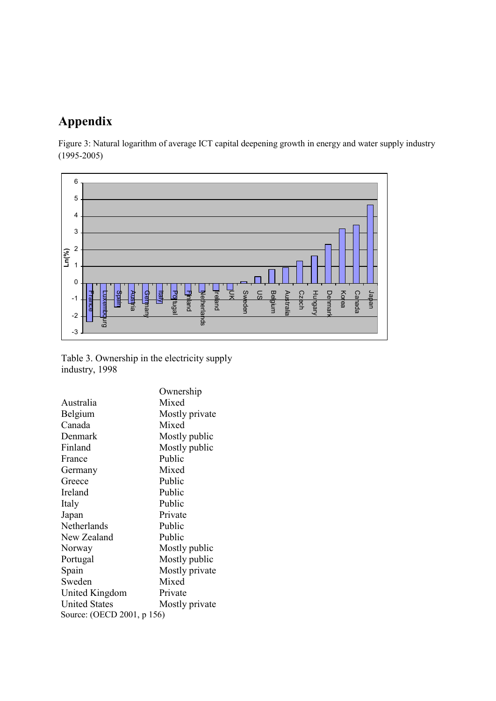# **Appendix**

Figure 3: Natural logarithm of average ICT capital deepening growth in energy and water supply industry (1995-2005)



Table 3. Ownership in the electricity supply industry, 1998

|                            | Ownership      |  |  |  |
|----------------------------|----------------|--|--|--|
| Australia                  | Mixed          |  |  |  |
| Belgium                    | Mostly private |  |  |  |
| Canada                     | Mixed          |  |  |  |
| Denmark                    | Mostly public  |  |  |  |
| Finland                    | Mostly public  |  |  |  |
| France                     | Public         |  |  |  |
| Germany                    | Mixed          |  |  |  |
| Greece                     | Public         |  |  |  |
| Ireland                    | Public         |  |  |  |
| Italy                      | Public         |  |  |  |
| Japan                      | Private        |  |  |  |
| Netherlands                | Public         |  |  |  |
| New Zealand                | Public         |  |  |  |
| Norway                     | Mostly public  |  |  |  |
| Portugal                   | Mostly public  |  |  |  |
| Spain                      | Mostly private |  |  |  |
| Sweden                     | Mixed          |  |  |  |
| United Kingdom             | Private        |  |  |  |
| <b>United States</b>       | Mostly private |  |  |  |
| Source: (OECD 2001, p 156) |                |  |  |  |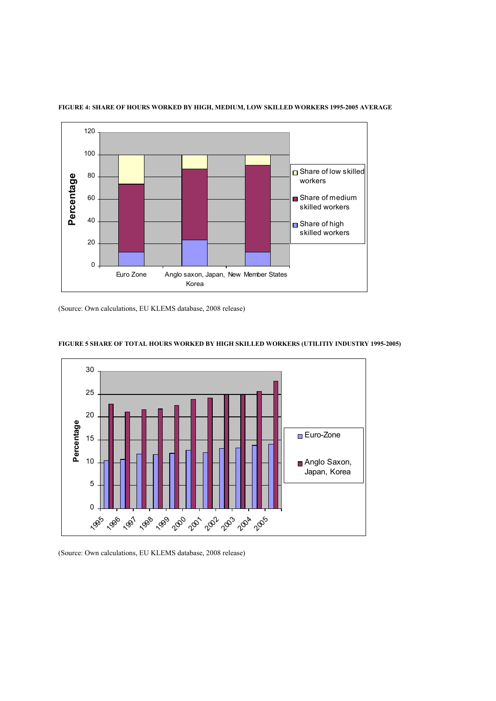

#### **FIGURE 4: SHARE OF HOURS WORKED BY HIGH, MEDIUM, LOW SKILLED WORKERS 1995-2005 AVERAGE**

(Source: Own calculations, EU KLEMS database, 2008 release)



#### **FIGURE 5 SHARE OF TOTAL HOURS WORKED BY HIGH SKILLED WORKERS (UTILITIY INDUSTRY 1995-2005)**

(Source: Own calculations, EU KLEMS database, 2008 release)